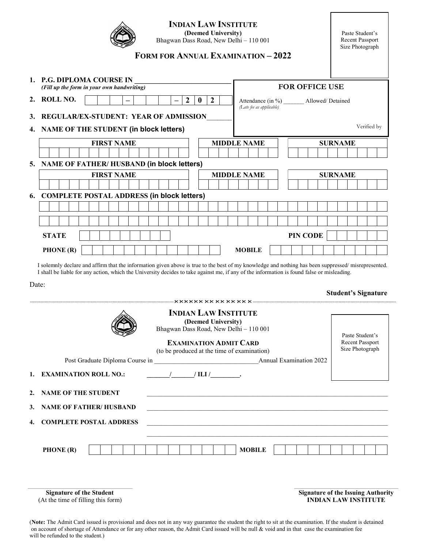## INDIAN LAW INSTITUTE

(Deemed University) Bhagwan Dass Road, New Delhi – 110 001

Paste Student's Recent Passport Size Photograph

## FORM FOR ANNUAL EXAMINATION – 2022

|                            | 1. P.G. DIPLOMA COURSE IN<br>(Fill up the form in your own handwriting)                                                                                                                                                                                                                                   |                  | <b>FOR OFFICE USE</b> |                     |                    |                                                                         |  |  |                |  |  |  |                                           |                |                 |                            |  |  |
|----------------------------|-----------------------------------------------------------------------------------------------------------------------------------------------------------------------------------------------------------------------------------------------------------------------------------------------------------|------------------|-----------------------|---------------------|--------------------|-------------------------------------------------------------------------|--|--|----------------|--|--|--|-------------------------------------------|----------------|-----------------|----------------------------|--|--|
| 2.                         | <b>ROLL NO.</b><br>$\overline{2}$                                                                                                                                                                                                                                                                         | $\boldsymbol{0}$ | $\overline{2}$        |                     |                    | Attendance (in %) _______ Allowed/ Detained<br>(Late fee as applicable) |  |  |                |  |  |  |                                           |                |                 |                            |  |  |
| 3.                         | REGULAR/EX-STUDENT: YEAR OF ADMISSION                                                                                                                                                                                                                                                                     |                  |                       |                     |                    |                                                                         |  |  |                |  |  |  |                                           |                |                 |                            |  |  |
|                            | 4. NAME OF THE STUDENT (in block letters)                                                                                                                                                                                                                                                                 |                  |                       |                     |                    |                                                                         |  |  |                |  |  |  | Verified by                               |                |                 |                            |  |  |
|                            | <b>FIRST NAME</b>                                                                                                                                                                                                                                                                                         |                  | <b>MIDDLE NAME</b>    |                     |                    |                                                                         |  |  | <b>SURNAME</b> |  |  |  |                                           |                |                 |                            |  |  |
|                            |                                                                                                                                                                                                                                                                                                           |                  |                       |                     |                    |                                                                         |  |  |                |  |  |  |                                           |                |                 |                            |  |  |
|                            | 5. NAME OF FATHER/HUSBAND (in block letters)                                                                                                                                                                                                                                                              |                  |                       |                     |                    |                                                                         |  |  |                |  |  |  |                                           |                |                 |                            |  |  |
|                            | <b>FIRST NAME</b>                                                                                                                                                                                                                                                                                         |                  |                       |                     | <b>MIDDLE NAME</b> |                                                                         |  |  |                |  |  |  |                                           | <b>SURNAME</b> |                 |                            |  |  |
|                            |                                                                                                                                                                                                                                                                                                           |                  |                       |                     |                    |                                                                         |  |  |                |  |  |  |                                           |                |                 |                            |  |  |
|                            | 6. COMPLETE POSTAL ADDRESS (in block letters)                                                                                                                                                                                                                                                             |                  |                       |                     |                    |                                                                         |  |  |                |  |  |  |                                           |                |                 |                            |  |  |
|                            |                                                                                                                                                                                                                                                                                                           |                  |                       |                     |                    |                                                                         |  |  |                |  |  |  |                                           |                |                 |                            |  |  |
|                            |                                                                                                                                                                                                                                                                                                           |                  |                       |                     |                    |                                                                         |  |  |                |  |  |  |                                           |                |                 |                            |  |  |
|                            | <b>STATE</b>                                                                                                                                                                                                                                                                                              |                  |                       | PIN CODE            |                    |                                                                         |  |  |                |  |  |  |                                           |                |                 |                            |  |  |
| PHONE (R)<br><b>MOBILE</b> |                                                                                                                                                                                                                                                                                                           |                  |                       |                     |                    |                                                                         |  |  |                |  |  |  |                                           |                |                 |                            |  |  |
|                            | I solemnly declare and affirm that the information given above is true to the best of my knowledge and nothing has been suppressed/misrepresented.<br>I shall be liable for any action, which the University decides to take against me, if any of the information is found false or misleading.<br>Date: |                  |                       |                     |                    |                                                                         |  |  |                |  |  |  |                                           |                |                 | <b>Student's Signature</b> |  |  |
|                            |                                                                                                                                                                                                                                                                                                           |                  |                       |                     |                    |                                                                         |  |  |                |  |  |  |                                           |                |                 |                            |  |  |
|                            |                                                                                                                                                                                                                                                                                                           |                  |                       |                     |                    |                                                                         |  |  |                |  |  |  | Paste Student's<br><b>Recent Passport</b> |                |                 |                            |  |  |
|                            | <b>INDIAN LAW INSTITUTE</b><br>Bhagwan Dass Road, New Delhi - 110 001                                                                                                                                                                                                                                     |                  |                       | (Deemed University) |                    |                                                                         |  |  |                |  |  |  |                                           |                |                 |                            |  |  |
|                            | <b>EXAMINATION ADMIT CARD</b>                                                                                                                                                                                                                                                                             |                  |                       |                     |                    |                                                                         |  |  |                |  |  |  |                                           |                | Size Photograph |                            |  |  |
|                            | (to be produced at the time of examination)                                                                                                                                                                                                                                                               |                  |                       |                     |                    |                                                                         |  |  |                |  |  |  |                                           |                |                 |                            |  |  |
| 1.                         |                                                                                                                                                                                                                                                                                                           |                  |                       |                     |                    |                                                                         |  |  |                |  |  |  |                                           |                |                 |                            |  |  |
|                            | $\frac{1}{\sqrt{1-\frac{1}{2}}}\int$ ILI $\frac{1}{\sqrt{1-\frac{1}{2}}}\int$<br><b>EXAMINATION ROLL NO.:</b>                                                                                                                                                                                             |                  |                       |                     |                    |                                                                         |  |  |                |  |  |  |                                           |                |                 |                            |  |  |

3. NAME OF FATHER/ HUSBAND

4. COMPLETE POSTAL ADDRESS

| PHONE (R) |  |  |  |  |  |  | <b>MOBILE</b> |  |  |  |  |  |
|-----------|--|--|--|--|--|--|---------------|--|--|--|--|--|
|           |  |  |  |  |  |  |               |  |  |  |  |  |

 Signature of the Student (At the time of filling this form) Signature of the Issuing Authority INDIAN LAW INSTITUTE

<sup>(</sup>Note: The Admit Card issued is provisional and does not in any way guarantee the student the right to sit at the examination. If the student is detained on account of shortage of Attendance or for any other reason, the Admit Card issued will be null & void and in that case the examination fee will be refunded to the student.)